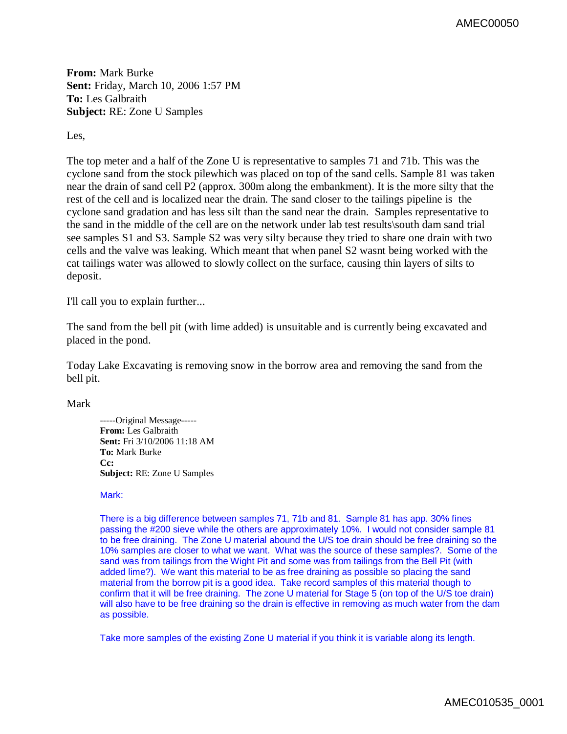AMEC00050

**From:** Mark Burke **Sent:** Friday, March 10, 2006 1:57 PM **To:** Les Galbraith **Subject:** RE: Zone U Samples

Les,

The top meter and a half of the Zone U is representative to samples 71 and 71b. This was the cyclone sand from the stock pilewhich was placed on top of the sand cells. Sample 81 was taken near the drain of sand cell P2 (approx. 300m along the embankment). It is the more silty that the rest of the cell and is localized near the drain. The sand closer to the tailings pipeline is the cyclone sand gradation and has less silt than the sand near the drain. Samples representative to the sand in the middle of the cell are on the network under lab test results\south dam sand trial see samples S1 and S3. Sample S2 was very silty because they tried to share one drain with two cells and the valve was leaking. Which meant that when panel S2 wasnt being worked with the cat tailings water was allowed to slowly collect on the surface, causing thin layers of silts to deposit.

I'll call you to explain further...

The sand from the bell pit (with lime added) is unsuitable and is currently being excavated and placed in the pond.

Today Lake Excavating is removing snow in the borrow area and removing the sand from the bell pit.

Mark

-----Original Message----- **From:** Les Galbraith **Sent:** Fri 3/10/2006 11:18 AM **To:** Mark Burke **Cc: Subject:** RE: Zone U Samples

## Mark:

There is a big difference between samples 71, 71b and 81. Sample 81 has app. 30% fines passing the #200 sieve while the others are approximately 10%. I would not consider sample 81 to be free draining. The Zone U material abound the U/S toe drain should be free draining so the 10% samples are closer to what we want. What was the source of these samples?. Some of the sand was from tailings from the Wight Pit and some was from tailings from the Bell Pit (with added lime?). We want this material to be as free draining as possible so placing the sand material from the borrow pit is a good idea. Take record samples of this material though to confirm that it will be free draining. The zone U material for Stage 5 (on top of the U/S toe drain) will also have to be free draining so the drain is effective in removing as much water from the dam as possible.

Take more samples of the existing Zone U material if you think it is variable along its length.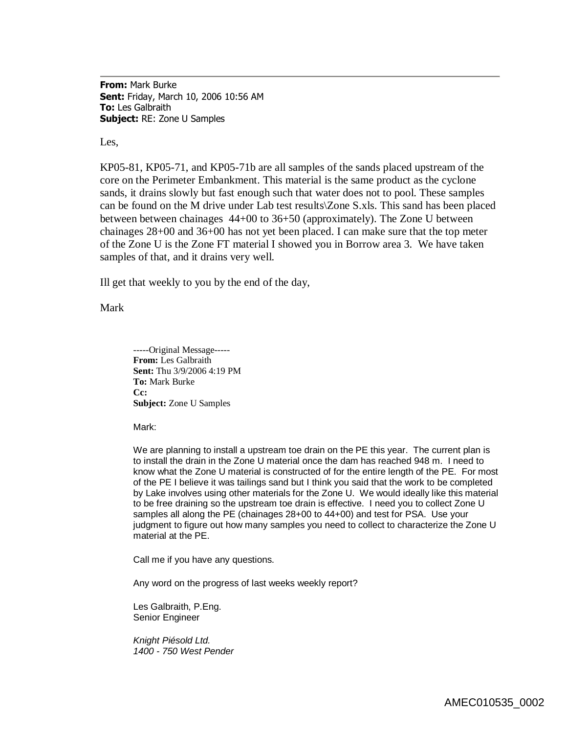**From:** Mark Burke **Sent:** Friday, March 10, 2006 10:56 AM **To:** Les Galbraith **Subject:** RE: Zone U Samples

Les,

KP05-81, KP05-71, and KP05-71b are all samples of the sands placed upstream of the core on the Perimeter Embankment. This material is the same product as the cyclone sands, it drains slowly but fast enough such that water does not to pool. These samples can be found on the M drive under Lab test results\Zone S.xls. This sand has been placed between between chainages 44+00 to 36+50 (approximately). The Zone U between chainages 28+00 and 36+00 has not yet been placed. I can make sure that the top meter of the Zone U is the Zone FT material I showed you in Borrow area 3. We have taken samples of that, and it drains very well.

Ill get that weekly to you by the end of the day,

Mark

-----Original Message----- **From:** Les Galbraith **Sent:** Thu 3/9/2006 4:19 PM **To:** Mark Burke **Cc: Subject:** Zone U Samples

Mark:

We are planning to install a upstream toe drain on the PE this year. The current plan is to install the drain in the Zone U material once the dam has reached 948 m. I need to know what the Zone U material is constructed of for the entire length of the PE. For most of the PE I believe it was tailings sand but I think you said that the work to be completed by Lake involves using other materials for the Zone U. We would ideally like this material to be free draining so the upstream toe drain is effective. I need you to collect Zone U samples all along the PE (chainages 28+00 to 44+00) and test for PSA. Use your judgment to figure out how many samples you need to collect to characterize the Zone U material at the PE.

Call me if you have any questions.

Any word on the progress of last weeks weekly report?

Les Galbraith, P.Eng. Senior Engineer

*Knight Piésold Ltd. 1400 - 750 West Pender*